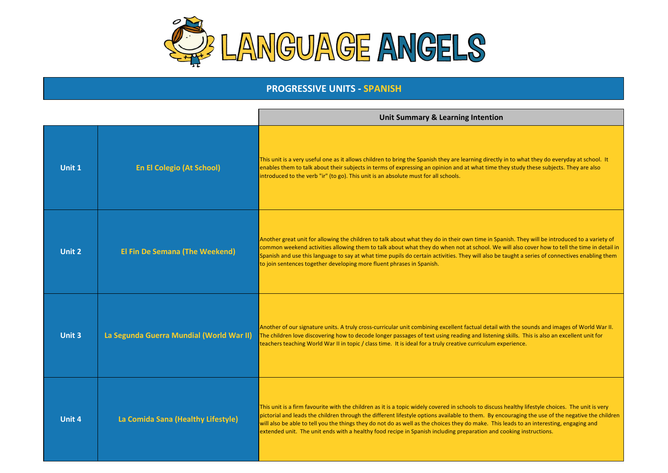

## **PROGRESSIVE UNITS - SPANISH**

|               |                                          | <b>Unit Summary &amp; Learning Intention</b>                                                                                                                                                                                                                                                                                                                                                                                                                                                                                                                          |
|---------------|------------------------------------------|-----------------------------------------------------------------------------------------------------------------------------------------------------------------------------------------------------------------------------------------------------------------------------------------------------------------------------------------------------------------------------------------------------------------------------------------------------------------------------------------------------------------------------------------------------------------------|
| Unit 1        | <b>En El Colegio (At School)</b>         | This unit is a very useful one as it allows children to bring the Spanish they are learning directly in to what they do everyday at school. It<br>enables them to talk about their subjects in terms of expressing an opinion and at what time they study these subjects. They are also<br>introduced to the verb "ir" (to go). This unit is an absolute must for all schools.                                                                                                                                                                                        |
| Unit 2        | <b>El Fin De Semana (The Weekend)</b>    | Another great unit for allowing the children to talk about what they do in their own time in Spanish. They will be introduced to a variety of<br>common weekend activities allowing them to talk about what they do when not at school. We will also cover how to tell the time in detail in<br>Spanish and use this language to say at what time pupils do certain activities. They will also be taught a series of connectives enabling them<br>to join sentences together developing more fluent phrases in Spanish.                                               |
| <b>Unit 3</b> | La Segunda Guerra Mundial (World War II) | Another of our signature units. A truly cross-curricular unit combining excellent factual detail with the sounds and images of World War II.<br>The children love discovering how to decode longer passages of text using reading and listening skills. This is also an excellent unit for<br>teachers teaching World War II in topic / class time. It is ideal for a truly creative curriculum experience.                                                                                                                                                           |
| <b>Unit 4</b> | La Comida Sana (Healthy Lifestyle)       | This unit is a firm favourite with the children as it is a topic widely covered in schools to discuss healthy lifestyle choices. The unit is very<br>pictorial and leads the children through the different lifestyle options available to them. By encouraging the use of the negative the children<br>will also be able to tell you the things they do not do as well as the choices they do make. This leads to an interesting, engaging and<br>extended unit. The unit ends with a healthy food recipe in Spanish including preparation and cooking instructions. |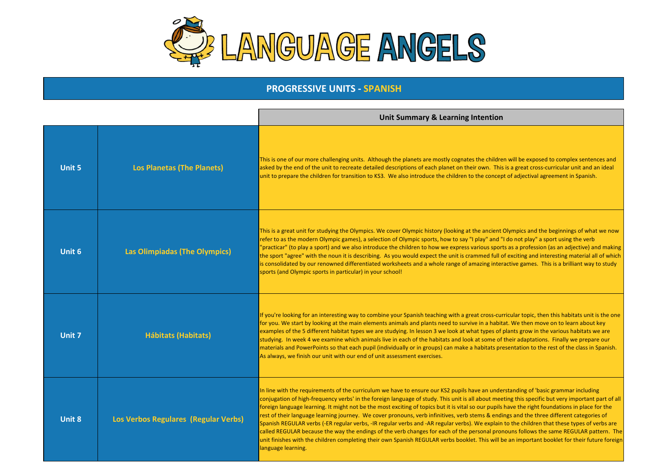

## **PROGRESSIVE UNITS - SPANISH**

|               |                                             | Unit Summary & Learning Intention                                                                                                                                                                                                                                                                                                                                                                                                                                                                                                                                                                                                                                                                                                                                                                                                                                                                                                                                                                                                                          |
|---------------|---------------------------------------------|------------------------------------------------------------------------------------------------------------------------------------------------------------------------------------------------------------------------------------------------------------------------------------------------------------------------------------------------------------------------------------------------------------------------------------------------------------------------------------------------------------------------------------------------------------------------------------------------------------------------------------------------------------------------------------------------------------------------------------------------------------------------------------------------------------------------------------------------------------------------------------------------------------------------------------------------------------------------------------------------------------------------------------------------------------|
| <b>Unit 5</b> | <b>Los Planetas (The Planets)</b>           | This is one of our more challenging units. Although the planets are mostly cognates the children will be exposed to complex sentences and<br>asked by the end of the unit to recreate detailed descriptions of each planet on their own. This is a great cross-curricular unit and an ideal<br>unit to prepare the children for transition to KS3. We also introduce the children to the concept of adjectival agreement in Spanish.                                                                                                                                                                                                                                                                                                                                                                                                                                                                                                                                                                                                                       |
| Unit 6        | <b>Las Olimpiadas (The Olympics)</b>        | This is a great unit for studying the Olympics. We cover Olympic history (looking at the ancient Olympics and the beginnings of what we now<br>refer to as the modern Olympic games), a selection of Olympic sports, how to say "I play" and "I do not play" a sport using the verb<br>"practicar" (to play a sport) and we also introduce the children to how we express various sports as a profession (as an adjective) and making<br>the sport "agree" with the noun it is describing. As you would expect the unit is crammed full of exciting and interesting material all of which<br>is consolidated by our renowned differentiated worksheets and a whole range of amazing interactive games. This is a brilliant way to study<br>sports (and Olympic sports in particular) in your school!                                                                                                                                                                                                                                                       |
| Unit 7        | <b>Hábitats (Habitats)</b>                  | If you're looking for an interesting way to combine your Spanish teaching with a great cross-curricular topic, then this habitats unit is the one<br>for you. We start by looking at the main elements animals and plants need to survive in a habitat. We then move on to learn about key<br>examples of the 5 different habitat types we are studying. In lesson 3 we look at what types of plants grow in the various habitats we are<br>studying. In week 4 we examine which animals live in each of the habitats and look at some of their adaptations. Finally we prepare our<br>materials and PowerPoints so that each pupil (individually or in groups) can make a habitats presentation to the rest of the class in Spanish.<br>As always, we finish our unit with our end of unit assessment exercises.                                                                                                                                                                                                                                          |
| Unit 8        | <b>Los Verbos Regulares (Regular Verbs)</b> | In line with the requirements of the curriculum we have to ensure our KS2 pupils have an understanding of 'basic grammar including<br>conjugation of high-frequency verbs' in the foreign language of study. This unit is all about meeting this specific but very important part of all<br>foreign language learning. It might not be the most exciting of topics but it is vital so our pupils have the right foundations in place for the<br>rest of their language learning journey. We cover pronouns, verb infinitives, verb stems & endings and the three different categories of<br>Spanish REGULAR verbs (-ER regular verbs, -IR regular verbs and -AR regular verbs). We explain to the children that these types of verbs are<br>called REGULAR because the way the endings of the verb changes for each of the personal pronouns follows the same REGULAR pattern. The<br>unit finishes with the children completing their own Spanish REGULAR verbs booklet. This will be an important booklet for their future foreign<br>language learning. |